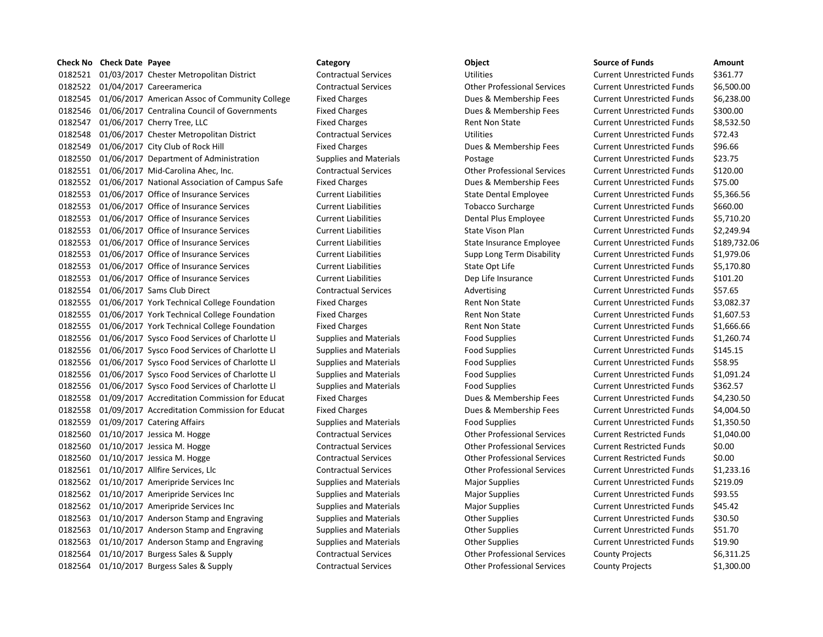0182521 01/03/2017 Chester Metropolitan District Contractual Services Utilities Current Unrestricted Funds \$361.77 0182522 01/04/2017 Careeramerica Contractual Services Other Professional Services Current Unrestricted Funds \$6,500.00 0182545 01/06/2017 American Assoc of Community College Fixed Charges Dues & Membership Fees Current Unrestricted Funds \$6,238.00 0182546 01/06/2017 Centralina Council of Governments Fixed Charges Dues & Membership Fees Current Unrestricted Funds \$300.00 0182547 01/06/2017 Cherry Tree, LLC **Fixed Charges** Fixed Charges Rent Non State Current Unrestricted Funds \$8,532.50 0182548 01/06/2017 Chester Metropolitan District Contractual Services Utilities Current Unrestricted Funds \$72.43 0182549 01/06/2017 City Club of Rock Hill Fixed Charges Fixed Charges Dues & Membership Fees Current Unrestricted Funds \$96.66 0182550 01/06/2017 Department of Administration Supplies and Materials Postage Current Unrestricted Funds \$23.75 0182551 01/06/2017 Mid-Carolina Ahec, Inc. Contractual Services Other Professional Services Current Unrestricted Funds \$120.00 0182552 01/06/2017 National Association of Campus Safe Fixed Charges Dues & Membership Fees Current Unrestricted Funds \$75.00 0182553 01/06/2017 Office of Insurance Services Current Liabilities Current Liabilities State Dental Employee Current Unrestricted Funds \$5,366.56 0182553 01/06/2017 Office of Insurance Services Current Liabilities Current Liabilities Current Unrestricted Funds \$660.00 0182553 01/06/2017 Office of Insurance Services Current Liabilities Dental Plus Employee Current Unrestricted Funds \$5,710.20 0182553 01/06/2017 Office of Insurance Services Current Liabilities State Vison Plan Current Unrestricted Funds \$2.249.94 0182553 01/06/2017 Office of Insurance Services Current Liabilities State Insurance Employee Current Unrestricted Funds \$189,732.06 0182553 01/06/2017 Office of Insurance Services Current Liabilities Supp Long Term Disability Current Unrestricted Funds \$1,979.06 0182553 01/06/2017 Office of Insurance Services Current Liabilities Current Liabilities Current Unrestricted Funds \$5,170.80 0182553 01/06/2017 Office of Insurance Services Current Liabilities Dep Life Insurance Current Unrestricted Funds \$101.20 0182554 01/06/2017 Sams Club Direct Contractual Services Advertising Current Unrestricted Funds \$57.65 0182555 01/06/2017 York Technical College Foundation Fixed Charges Rent Non State Current Unrestricted Funds \$3,082.37 0182555 01/06/2017 York Technical College Foundation Fixed Charges Rent Non State Current Unrestricted Funds \$1,607.53 0182555 01/06/2017 York Technical College Foundation Fixed Charges Rent Non State Current Unrestricted Funds \$1,666.66 0182556 01/06/2017 Sysco Food Services of Charlotte Ll Supplies and Materials Food Supplies Current Unrestricted Funds \$1,260.74 0182556 01/06/2017 Sysco Food Services of Charlotte Ll Supplies and Materials Food Supplies Current Unrestricted Funds \$145.15 0182556 01/06/2017 Sysco Food Services of Charlotte Ll Supplies and Materials Food Supplies Current Unrestricted Funds \$58.95 0182556 01/06/2017 Sysco Food Services of Charlotte Ll Supplies and Materials Food Supplies Current Unrestricted Funds \$1,091.24 0182556 01/06/2017 Sysco Food Services of Charlotte Ll Supplies and Materials Food Supplies Current Unrestricted Funds \$362.57 0182558 01/09/2017 Accreditation Commission for Educat Fixed Charges Dues & Membership Fees Current Unrestricted Funds \$4,230.50 0182558 01/09/2017 Accreditation Commission for Educat Fixed Charges Dues & Membership Fees Current Unrestricted Funds \$4,004.50 0182559 01/09/2017 Catering Affairs The Supplies and Materials Food Supplies Current Unrestricted Funds \$1,350.50 0182560 01/10/2017 Jessica M. Hogge Contractual Services Other Professional Services Current Restricted Funds \$1,040.00 0182560 01/10/2017 Jessica M. Hogge Contractual Services Other Professional Services Current Restricted Funds \$0.00 0182560 01/10/2017 Jessica M. Hogge Contractual Services Current Restricted Funds So.00 0182561 01/10/2017 Allfire Services, Llc Contractual Services Other Professional Services Current Unrestricted Funds \$1,233.16 0182562 01/10/2017 Ameripride Services Inc Supplies and Materials Major Supplies Current Unrestricted Funds \$219.09 0182562 01/10/2017 Ameripride Services Inc Supplies and Materials Major Supplies Major Supplies Current Unrestricted Funds \$93.55 0182562 01/10/2017 Ameripride Services Inc Supplies and Materials Major Supplies Current Unrestricted Funds \$45.42 0182563 01/10/2017 Anderson Stamp and Engraving Supplies and Materials Other Supplies Current Unrestricted Funds \$30.50 0182563 01/10/2017 Anderson Stamp and Engraving Supplies and Materials Other Supplies Current Unrestricted Funds \$51.70 0182563 01/10/2017 Anderson Stamp and Engraving Supplies and Materials Other Supplies Current Unrestricted Funds \$19.90 0182564 01/10/2017 Burgess Sales & Supply Contractual Services Other Professional Services County Projects \$6,311.25 0182564 01/10/2017 Burgess Sales & Supply Contractual Services Other Professional Services County Projects \$1,300.00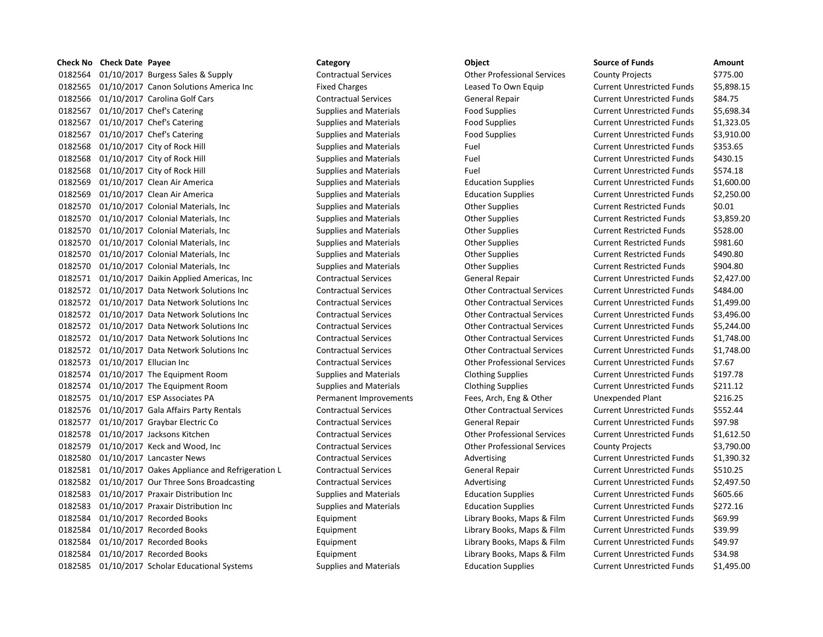0182564 01/10/2017 Burgess Sales & Supply Contractual Services Other Professional Services County Projects \$775.00 0182565 01/10/2017 Canon Solutions America Inc Fixed Charges Leased To Own Equip Current Unrestricted Funds \$5,898.15 0182566 01/10/2017 Carolina Golf Cars Contractual Services General Repair Current Unrestricted Funds \$84.75 0182567 01/10/2017 Chef's Catering The Supplies and Materials Food Supplies Current Unrestricted Funds \$5,698.34 0182567 01/10/2017 Chef's Catering Supplies and Materials Food Supplies Current Unrestricted Funds \$1,323.05 0182567 01/10/2017 Chef's Catering Supplies and Materials Food Supplies Current Unrestricted Funds \$3,910.00 0182568 01/10/2017 City of Rock Hill Supplies and Materials Fuel Fuel Current Unrestricted Funds \$353.65 0182568 01/10/2017 City of Rock Hill Supplies and Materials Fuel Fuel Current Unrestricted Funds \$430.15 0182568 01/10/2017 City of Rock Hill Supplies and Materials Fuel Fuel Current Unrestricted Funds 5574.18 0182569 01/10/2017 Clean Air America Supplies and Materials Education Supplies Current Unrestricted Funds \$1,600.00 0182569 01/10/2017 Clean Air America Supplies and Materials Education Supplies Current Unrestricted Funds \$2,250.00 0182570 01/10/2017 Colonial Materials, Inc Supplies and Materials Current Restricted Funds So.01 0182570 01/10/2017 Colonial Materials, Inc Supplies and Materials Current Restricted Funds \$3,859.20 0182570 01/10/2017 Colonial Materials, Inc Supplies and Materials Current Supplies Current Restricted Funds \$528.00 0182570 01/10/2017 Colonial Materials, Inc Supplies and Materials Current Restricted Funds \$981.60 0182570 01/10/2017 Colonial Materials, Inc Supplies and Materials Current Restricted Funds 5490.80 0182570 01/10/2017 Colonial Materials, Inc Supplies and Materials Current Restricted Funds 5904.80 0182571 01/10/2017 Daikin Applied Americas, Inc Contractual Services General Repair Current Unrestricted Funds \$2,427.00 0182572 01/10/2017 Data Network Solutions Inc Contractual Services Other Contractual Services Current Unrestricted Funds \$484.00 0182572 01/10/2017 Data Network Solutions Inc Contractual Services Other Contractual Services Current Unrestricted Funds \$1,499.00 0182572 01/10/2017 Data Network Solutions Inc Contractual Services Other Contractual Services Current Unrestricted Funds \$3,496.00 0182572 01/10/2017 Data Network Solutions Inc Contractual Services Other Contractual Services Current Unrestricted Funds \$5,244.00 0182572 01/10/2017 Data Network Solutions Inc Contractual Services Other Contractual Services Current Unrestricted Funds \$1,748.00 0182572 01/10/2017 Data Network Solutions Inc Contractual Services Other Contractual Services Current Unrestricted Funds \$1,748.00 0182573 01/10/2017 Ellucian Inc Contractual Services Other Professional Services Current Unrestricted Funds 57.67 0182574 01/10/2017 The Equipment Room Supplies and Materials Clothing Supplies Current Unrestricted Funds \$197.78 0182574 01/10/2017 The Equipment Room Supplies and Materials Clothing Supplies Current Unrestricted Funds \$211.12 0182575 01/10/2017 ESP Associates PA **Permanent Improvements** Fees, Arch, Eng & Other Unexpended Plant \$216.25 0182576 01/10/2017 Gala Affairs Party Rentals Contractual Services Other Contractual Services Current Unrestricted Funds \$552.44 0182577 01/10/2017 Graybar Electric Co Contractual Services General Repair Current Unrestricted Funds \$97.98 0182578 01/10/2017 Jacksons Kitchen Contractual Services Other Professional Services Current Unrestricted Funds \$1,612.50 0182579 01/10/2017 Keck and Wood, Inc Contractual Services Other Professional Services County Projects \$3,790.00 0182580 01/10/2017 Lancaster News Contractual Services Advertising Current Unrestricted Funds \$1,390.32 0182581 01/10/2017 Oakes Appliance and Refrigeration L Contractual Services General Repair Current Unrestricted Funds \$510.25 0182582 01/10/2017 Our Three Sons Broadcasting Contractual Services Advertising Advertising Current Unrestricted Funds \$2.497.50 0182583 01/10/2017 Praxair Distribution Inc Supplies and Materials Education Supplies Current Unrestricted Funds \$605.66 0182583 01/10/2017 Praxair Distribution Inc Supplies and Materials Education Supplies Current Unrestricted Funds \$272.16 0182584 01/10/2017 Recorded Books Equipment Library Books, Maps & Film Current Unrestricted Funds \$69.99 0182584 01/10/2017 Recorded Books **Equipment** Equipment Library Books, Maps & Film Current Unrestricted Funds \$39.99 0182584 01/10/2017 Recorded Books Equipment Library Books, Maps & Film Current Unrestricted Funds \$49.97 0182584 01/10/2017 Recorded Books **Equipment** Equipment Library Books, Maps & Film Current Unrestricted Funds \$34.98 0182585 01/10/2017 Scholar Educational Systems Supplies and Materials Education Supplies Current Unrestricted Funds \$1,495.00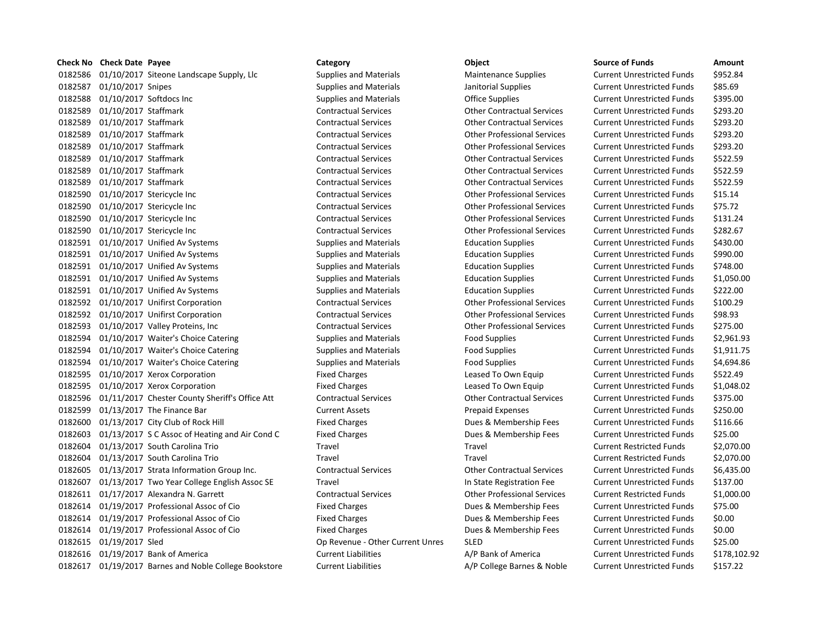**Check No Check Date Payee Category Object Source of Funds Amount** 0182586 01/10/2017 Siteone Landscape Supply, Llc Supplies and Materials Maintenance Supplies Current Unrestricted Funds \$952.84 0182587 01/10/2017 Snipes Supplies and Materials Janitorial Supplies Current Unrestricted Funds \$85.69 0182588 01/10/2017 Softdocs Inc extended to Supplies and Materials Current Unrestricted Funds and S395.00 0182589 01/10/2017 Staffmark Contractual Services Other Contractual Services Current Unrestricted Funds \$293.20 0182589 01/10/2017 Staffmark Contractual Services Other Contractual Services Current Unrestricted Funds \$293.20 0182589 01/10/2017 Staffmark Contractual Services Other Professional Services Current Unrestricted Funds \$293.20 0182589 01/10/2017 Staffmark Contractual Services Other Professional Services Current Unrestricted Funds \$293.20 0182589 01/10/2017 Staffmark Contractual Services Other Contractual Services Current Unrestricted Funds \$522.59 0182589 01/10/2017 Staffmark Contractual Services Contractual Services Current Unrestricted Funds 5522.59 0182589 01/10/2017 Staffmark Contractual Services Other Contractual Services Current Unrestricted Funds \$522.59 0182590 01/10/2017 Stericycle Inc Contractual Services Other Professional Services Current Unrestricted Funds \$15.14 0182590 01/10/2017 Stericycle Inc Contractual Services Other Professional Services Current Unrestricted Funds \$75.72 0182590 01/10/2017 Stericycle Inc Contractual Services Other Professional Services Current Unrestricted Funds \$131.24 0182590 01/10/2017 Stericycle Inc Contractual Services Other Professional Services Current Unrestricted Funds \$282.67 0182591 01/10/2017 Unified Av Systems Supplies and Materials Education Supplies Current Unrestricted Funds \$430.00 0182591 01/10/2017 Unified Av Systems Supplies and Materials Education Supplies Current Unrestricted Funds \$990.00 0182591 01/10/2017 Unified Av Systems Supplies and Materials Education Supplies Current Unrestricted Funds 5748.00 0182591 01/10/2017 Unified Av Systems Supplies and Materials Education Supplies Current Unrestricted Funds \$1,050.00 0182591 01/10/2017 Unified Av Systems Supplies and Materials Education Supplies Current Unrestricted Funds \$222.00 0182592 01/10/2017 Unifirst Corporation Contractual Services Other Professional Services Current Unrestricted Funds \$100.29 0182592 01/10/2017 Unifirst Corporation Contractual Services Other Professional Services Current Unrestricted Funds \$98.93 0182593 01/10/2017 Valley Proteins, Inc Contractual Services Other Professional Services Current Unrestricted Funds \$275.00 0182594 01/10/2017 Waiter's Choice Catering Supplies and Materials Food Supplies Current Unrestricted Funds \$2,961.93 0182594 01/10/2017 Waiter's Choice Catering Supplies and Materials Food Supplies Current Unrestricted Funds \$1,911.75 0182594 01/10/2017 Waiter's Choice Catering Supplies and Materials Food Supplies Current Unrestricted Funds \$4,694.86 0182595 01/10/2017 Xerox Corporation The Fixed Charges Current Unrestricted Funds 5522.49 0182595 01/10/2017 Xerox Corporation **Fixed Charges** Fixed Charges Leased To Own Equip Current Unrestricted Funds \$1,048.02 0182596 01/11/2017 Chester County Sheriff's Office Att Contractual Services Contractual Services Current Unrestricted Funds \$375.00 0182599 01/13/2017 The Finance Bar Current Assets Prepaid Expenses Current Unrestricted Funds \$250.00 0182600 01/13/2017 City Club of Rock Hill Fixed Charges Fixed Charges Dues & Membership Fees Current Unrestricted Funds \$116.66 0182603 01/13/2017 S C Assoc of Heating and Air Cond C Fixed Charges Dues & Membership Fees Current Unrestricted Funds \$25.00 0182604 01/13/2017 South Carolina Trio Travel Travel Travel Travel Travel Current Restricted Funds \$2,070.00 0182604 01/13/2017 South Carolina Trio Travel Travel Current Restricted Funds \$2,070.00 0182605 01/13/2017 Strata Information Group Inc. Contractual Services Other Contractual Services Current Unrestricted Funds \$6,435.00 0182607 01/13/2017 Two Year College English Assoc SE Travel Travel In State Registration Fee Current Unrestricted Funds \$137.00 0182611 01/17/2017 Alexandra N. Garrett Contractual Services Other Professional Services Current Restricted Funds \$1,000.00 0182614 01/19/2017 Professional Assoc of Cio Fixed Charges Dues & Membership Fees Current Unrestricted Funds \$75.00 0182614 01/19/2017 Professional Assoc of Cio Fixed Charges Dues & Membership Fees Current Unrestricted Funds \$0.00 0182614 01/19/2017 Professional Assoc of Cio Fixed Charges Dues & Membership Fees Current Unrestricted Funds \$0.00 0182615 01/19/2017 Sled Op Revenue - Other Current Unres SLED Current Unrestricted Funds \$25.00 0182616 01/19/2017 Bank of America Current Liabilities A/P Bank of America Current Unrestricted Funds \$178,102.92 0182617 01/19/2017 Barnes and Noble College Bookstore Current Liabilities A/P College Barnes & Noble Current Unrestricted Funds \$157.22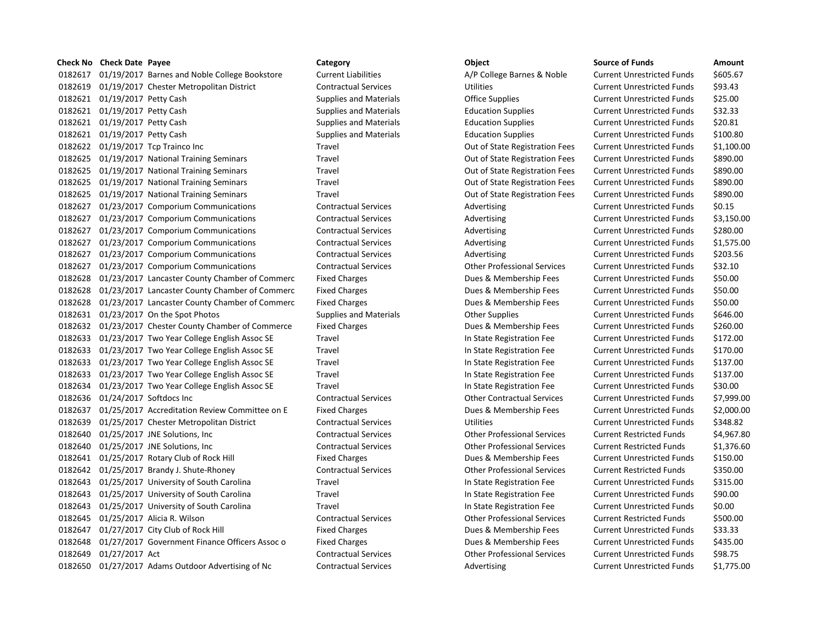# **Check No Check Date Payee Category Object Source of Funds Amount** 0182617 01/19/2017 Barnes and Noble College Bookstore Current Liabilities A/P College Barnes & Noble Current Unrestricted Funds \$605.67 0182619 01/19/2017 Chester Metropolitan District Contractual Services Utilities Current Unrestricted Funds \$93.43 0182621 01/19/2017 Petty Cash Supplies and Materials Current Unrestricted Funds 525.00 0182621 01/19/2017 Petty Cash Supplies and Materials Education Supplies Current Unrestricted Funds \$32.33 0182621 01/19/2017 Petty Cash Supplies and Materials Education Supplies Current Unrestricted Funds \$20.81 0182621 01/19/2017 Petty Cash Supplies and Materials Education Supplies Current Unrestricted Funds \$100.80 0182622 01/19/2017 Tcp Trainco Inc Travel Out of State Registration Fees Current Unrestricted Funds \$1,100.00 0182625 01/19/2017 National Training Seminars Travel Out of State Registration Fees Current Unrestricted Funds \$890.00 0182625 01/19/2017 National Training Seminars Travel Out of State Registration Fees Current Unrestricted Funds \$890.00 0182625 01/19/2017 National Training Seminars Travel Out of State Registration Fees Current Unrestricted Funds \$890.00 0182625 01/19/2017 National Training Seminars Travel Out of State Registration Fees Current Unrestricted Funds \$890.00 0182627 01/23/2017 Comporium Communications Contractual Services Advertising Current Unrestricted Funds \$0.15 0182627 01/23/2017 Comporium Communications Contractual Services Advertising Current Unrestricted Funds \$3.150.00 0182627 01/23/2017 Comporium Communications Contractual Services Advertising Current Unrestricted Funds \$280.00 0182627 01/23/2017 Comporium Communications Contractual Services Advertising Current Unrestricted Funds \$1,575.00 0182627 01/23/2017 Comporium Communications Contractual Services Advertising Current Unrestricted Funds \$203.56 0182627 01/23/2017 Comporium Communications Contractual Services Other Professional Services Current Unrestricted Funds \$32.10 0182628 01/23/2017 Lancaster County Chamber of Commerc Fixed Charges Dues & Membership Fees Current Unrestricted Funds \$50.00 0182628 01/23/2017 Lancaster County Chamber of Commerc Fixed Charges Dues & Membership Fees Current Unrestricted Funds \$50.00 0182628 01/23/2017 Lancaster County Chamber of Commerc Fixed Charges Dues & Membership Fees Current Unrestricted Funds \$50.00 0182631 01/23/2017 On the Spot Photos Supplies and Materials Current Unrestricted Funds 5646.00 0182632 01/23/2017 Chester County Chamber of Commerce Fixed Charges Dues & Membership Fees Current Unrestricted Funds \$260.00 0182633 01/23/2017 Two Year College English Assoc SE Travel In State Registration Fee Current Unrestricted Funds \$172.00 0182633 01/23/2017 Two Year College English Assoc SE Travel In State Registration Fee Current Unrestricted Funds \$170.00 0182633 01/23/2017 Two Year College English Assoc SE Travel In State Registration Fee Current Unrestricted Funds \$137.00 0182633 01/23/2017 Two Year College English Assoc SE Travel Travel In State Registration Fee Current Unrestricted Funds \$137.00 0182634 01/23/2017 Two Year College English Assoc SE Travel In State Registration Fee Current Unrestricted Funds \$30.00 0182636 01/24/2017 Softdocs Inc Contractual Services Other Contractual Services Current Unrestricted Funds \$7,999.00 0182637 01/25/2017 Accreditation Review Committee on E Fixed Charges Dues & Membership Fees Current Unrestricted Funds \$2,000.00 0182639 01/25/2017 Chester Metropolitan District Contractual Services Utilities Current Unrestricted Funds \$348.82 0182640 01/25/2017 JNE Solutions, Inc Contractual Services Other Professional Services Current Restricted Funds \$4,967.80 0182640 01/25/2017 JNE Solutions, Inc Contractual Services Other Professional Services Current Restricted Funds \$1,376.60 0182641 01/25/2017 Rotary Club of Rock Hill Fixed Charges Fixed Charges Dues & Membership Fees Current Unrestricted Funds \$150.00 0182642 01/25/2017 Brandy J. Shute-Rhoney Contractual Services Current Professional Services Current Restricted Funds \$350.00 0182643 01/25/2017 University of South Carolina Travel Travel In State Registration Fee Current Unrestricted Funds \$315.00 0182643 01/25/2017 University of South Carolina Travel In State Registration Fee Current Unrestricted Funds \$90.00 0182643 01/25/2017 University of South Carolina Travel In State Registration Fee Current Unrestricted Funds \$0.00 0182645 01/25/2017 Alicia R. Wilson Contractual Services Current Professional Services Current Restricted Funds \$500.00 0182647 01/27/2017 City Club of Rock Hill Fixed Charges Fixed Charges Dues & Membership Fees Current Unrestricted Funds \$33.33 0182648 01/27/2017 Government Finance Officers Assoc o Fixed Charges Dues & Membership Fees Current Unrestricted Funds \$435.00 0182649 01/27/2017 Act Contractual Services Other Professional Services Current Unrestricted Funds \$98.75 0182650 01/27/2017 Adams Outdoor Advertising of Nc Contractual Services Advertising Current Unrestricted Funds \$1,775.00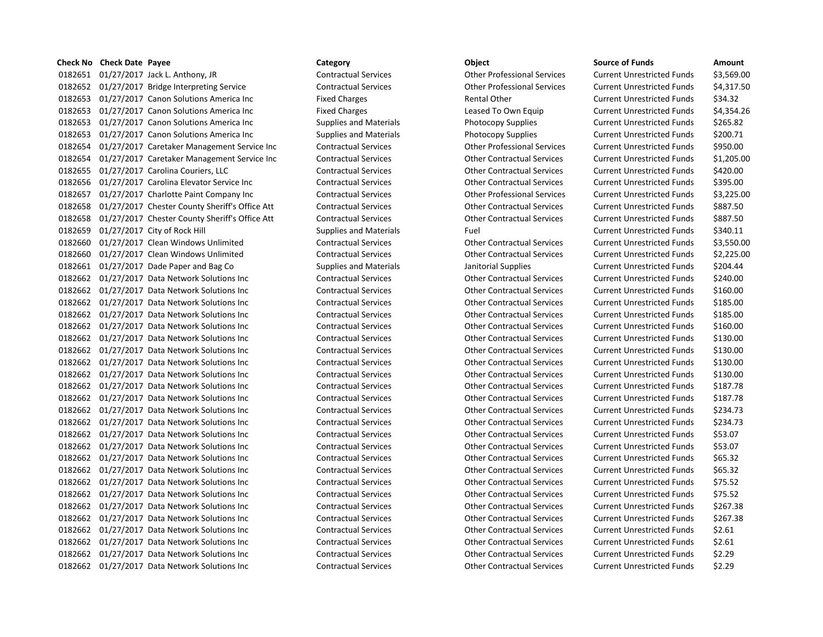01/27/2017 Jack L. Anthony, JR Contractual Services Other Professional Services Current Unrestricted Funds \$3,569.00 01/27/2017 Bridge Interpreting Service Contractual Services Other Professional Services Current Unrestricted Funds \$4,317.50 0182653 01/27/2017 Canon Solutions America Inc Fixed Charges Rental Other Rental Other Current Unrestricted Funds \$34.32 01/27/2017 Canon Solutions America Inc Fixed Charges Leased To Own Equip Current Unrestricted Funds \$4,354.26 0182653 01/27/2017 Canon Solutions America Inc Supplies and Materials Photocopy Supplies Current Unrestricted Funds \$265.82 0182653 01/27/2017 Canon Solutions America Inc Supplies and Materials Photocopy Supplies Current Unrestricted Funds \$200.71 01/27/2017 Caretaker Management Service Inc Contractual Services Other Professional Services Current Unrestricted Funds \$950.00 01/27/2017 Caretaker Management Service Inc Contractual Services Other Contractual Services Current Unrestricted Funds \$1,205.00 01/27/2017 Carolina Couriers, LLC Contractual Services Other Contractual Services Current Unrestricted Funds \$420.00 01/27/2017 Carolina Elevator Service Inc Contractual Services Other Contractual Services Current Unrestricted Funds \$395.00 01/27/2017 Charlotte Paint Company Inc Contractual Services Other Professional Services Current Unrestricted Funds \$3,225.00 0182658 01/27/2017 Chester County Sheriff's Office Att Contractual Services Contractual Services Current Unrestricted Funds \$887.50 01/27/2017 Chester County Sheriff's Office Att Contractual Services Other Contractual Services Current Unrestricted Funds \$887.50 0182659 01/27/2017 City of Rock Hill Supplies and Materials Fuel Fuel Current Unrestricted Funds \$340.11 01/27/2017 Clean Windows Unlimited Contractual Services Other Contractual Services Current Unrestricted Funds \$3,550.00 01/27/2017 Clean Windows Unlimited Contractual Services Other Contractual Services Current Unrestricted Funds \$2,225.00 01/27/2017 Dade Paper and Bag Co Supplies and Materials Janitorial Supplies Current Unrestricted Funds \$204.44 01/27/2017 Data Network Solutions Inc Contractual Services Other Contractual Services Current Unrestricted Funds \$240.00 01/27/2017 Data Network Solutions Inc Contractual Services Other Contractual Services Current Unrestricted Funds \$160.00 01/27/2017 Data Network Solutions Inc Contractual Services Other Contractual Services Current Unrestricted Funds \$185.00 01/27/2017 Data Network Solutions Inc Contractual Services Other Contractual Services Current Unrestricted Funds \$185.00 01/27/2017 Data Network Solutions Inc Contractual Services Other Contractual Services Current Unrestricted Funds \$160.00 01/27/2017 Data Network Solutions Inc Contractual Services Other Contractual Services Current Unrestricted Funds \$130.00 01/27/2017 Data Network Solutions Inc Contractual Services Other Contractual Services Current Unrestricted Funds \$130.00 01/27/2017 Data Network Solutions Inc Contractual Services Other Contractual Services Current Unrestricted Funds \$130.00 01/27/2017 Data Network Solutions Inc Contractual Services Other Contractual Services Current Unrestricted Funds \$130.00 01/27/2017 Data Network Solutions Inc Contractual Services Other Contractual Services Current Unrestricted Funds \$187.78 01/27/2017 Data Network Solutions Inc Contractual Services Other Contractual Services Current Unrestricted Funds \$187.78 01/27/2017 Data Network Solutions Inc Contractual Services Other Contractual Services Current Unrestricted Funds \$234.73 01/27/2017 Data Network Solutions Inc Contractual Services Other Contractual Services Current Unrestricted Funds \$234.73 01/27/2017 Data Network Solutions Inc Contractual Services Other Contractual Services Current Unrestricted Funds \$53.07 01/27/2017 Data Network Solutions Inc Contractual Services Other Contractual Services Current Unrestricted Funds \$53.07 0182662 01/27/2017 Data Network Solutions Inc Contractual Services Current Unrestricted Funds \$65.32 0182662 01/27/2017 Data Network Solutions Inc Contractual Services Current Unrestricted Funds \$65.32 01/27/2017 Data Network Solutions Inc Contractual Services Other Contractual Services Current Unrestricted Funds \$75.52 01/27/2017 Data Network Solutions Inc Contractual Services Other Contractual Services Current Unrestricted Funds \$75.52 01/27/2017 Data Network Solutions Inc Contractual Services Other Contractual Services Current Unrestricted Funds \$267.38 01/27/2017 Data Network Solutions Inc Contractual Services Other Contractual Services Current Unrestricted Funds \$267.38 0182662 01/27/2017 Data Network Solutions Inc Contractual Services Current Unrestricted Funds 52.61 01/27/2017 Data Network Solutions Inc Contractual Services Other Contractual Services Current Unrestricted Funds \$2.61 01/27/2017 Data Network Solutions Inc Contractual Services Other Contractual Services Current Unrestricted Funds \$2.29 0182662 01/27/2017 Data Network Solutions Inc Contractual Services Contractual Services Current Unrestricted Funds \$2.29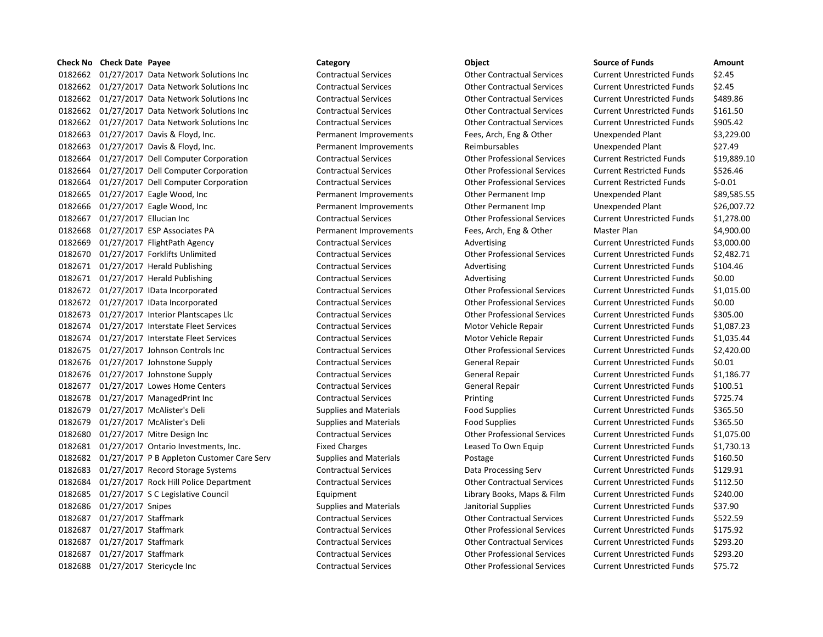0182662 01/27/2017 Data Network Solutions Inc Contractual Services Current Unrestricted Funds States Current Unrestricted Funds States 0182662 01/27/2017 Data Network Solutions Inc Contractual Services Other Contractual Services Current Unrestricted Funds \$2.45 0182662 01/27/2017 Data Network Solutions Inc Contractual Services Other Contractual Services Current Unrestricted Funds \$489.86 0182662 01/27/2017 Data Network Solutions Inc Contractual Services Other Contractual Services Current Unrestricted Funds \$161.50 0182662 01/27/2017 Data Network Solutions Inc Contractual Services Other Contractual Services Current Unrestricted Funds \$905.42 0182663 01/27/2017 Davis & Floyd, Inc. Permanent Improvements Fees, Arch, Eng & Other Unexpended Plant \$3,229.00 0182663 01/27/2017 Davis & Floyd, Inc. The Permanent Improvements Reimbursables Unexpended Plant \$27.49 0182664 01/27/2017 Dell Computer Corporation Contractual Services Other Professional Services Current Restricted Funds \$19,889.10 0182664 01/27/2017 Dell Computer Corporation Contractual Services Other Professional Services Current Restricted Funds \$526.46 0182664 01/27/2017 Dell Computer Corporation Contractual Services Other Professional Services Current Restricted Funds \$-0.01 0182665 01/27/2017 Eagle Wood, Inc example and Permanent Improvements of Other Permanent Imp Unexpended Plant \$89,585.55 0182666 01/27/2017 Eagle Wood, Inc example and Permanent Improvements of Other Permanent Imp Unexpended Plant \$26,007.72 0182667 01/27/2017 Ellucian Inc Contractual Services Other Professional Services Current Unrestricted Funds \$1,278.00 0182668 01/27/2017 ESP Associates PA Permanent Improvements Fees, Arch, Eng & Other Master Plan \$4,900.00 0182669 01/27/2017 FlightPath Agency Contractual Services Advertising Current Unrestricted Funds \$3,000.00 0182670 01/27/2017 Forklifts Unlimited Contractual Services Other Professional Services Current Unrestricted Funds \$2,482.71 0182671 01/27/2017 Herald Publishing Contractual Services Advertising Current Unrestricted Funds \$104.46 0182671 01/27/2017 Herald Publishing Contractual Services Advertising Current Unrestricted Funds \$0.00 0182672 01/27/2017 IData Incorporated Contractual Services Other Professional Services Current Unrestricted Funds \$1,015.00 0182672 01/27/2017 IData Incorporated Contractual Services Other Professional Services Current Unrestricted Funds \$0.00 0182673 01/27/2017 Interior Plantscapes Llc Contractual Services Other Professional Services Current Unrestricted Funds \$305.00 0182674 01/27/2017 Interstate Fleet Services Contractual Services Motor Vehicle Repair Current Unrestricted Funds \$1,087.23 0182674 01/27/2017 Interstate Fleet Services Contractual Services Motor Vehicle Repair Current Unrestricted Funds \$1,035.44 0182675 01/27/2017 Johnson Controls Inc Contractual Services Other Professional Services Current Unrestricted Funds \$2,420.00 0182676 01/27/2017 Johnstone Supply Contractual Services General Repair Current Unrestricted Funds \$0.01 0182676 01/27/2017 Johnstone Supply Contractual Services General Repair Current Unrestricted Funds \$1,186.77 0182677 01/27/2017 Lowes Home Centers Contractual Services General Repair Current Unrestricted Funds \$100.51 0182678 01/27/2017 ManagedPrint Inc Contractual Services Printing Printing Current Unrestricted Funds 5725.74 0182679 01/27/2017 McAlister's Deli Supplies and Materials Food Supplies Food Supplies Current Unrestricted Funds \$365.50 0182679 01/27/2017 McAlister's Deli Supplies and Materials Food Supplies Food Supplies Current Unrestricted Funds \$365.50 0182680 01/27/2017 Mitre Design Inc Contractual Services Other Professional Services Current Unrestricted Funds \$1,075.00 0182681 01/27/2017 Ontario Investments, Inc. Fixed Charges Leased To Own Equip Current Unrestricted Funds \$1,730.13 0182682 01/27/2017 P B Appleton Customer Care Serv Supplies and Materials Postage Current Unrestricted Funds \$160.50 0182683 01/27/2017 Record Storage Systems Contractual Services Data Processing Serv Current Unrestricted Funds \$129.91 0182684 01/27/2017 Rock Hill Police Department Contractual Services Other Contractual Services Current Unrestricted Funds \$112.50 0182685 01/27/2017 S C Legislative Council **Equipment** Equipment Library Books, Maps & Film Current Unrestricted Funds \$240.00 0182686 01/27/2017 Snipes Supplies and Materials Janitorial Supplies Current Unrestricted Funds \$37.90 0182687 01/27/2017 Staffmark Contractual Services Other Contractual Services Current Unrestricted Funds \$522.59 0182687 01/27/2017 Staffmark Contractual Services Other Professional Services Current Unrestricted Funds \$175.92 0182687 01/27/2017 Staffmark Contractual Services Other Contractual Services Current Unrestricted Funds \$293.20 0182687 01/27/2017 Staffmark Contractual Services Other Professional Services Current Unrestricted Funds \$293.20 0182688 01/27/2017 Stericycle Inc Contractual Services Other Professional Services Current Unrestricted Funds \$75.72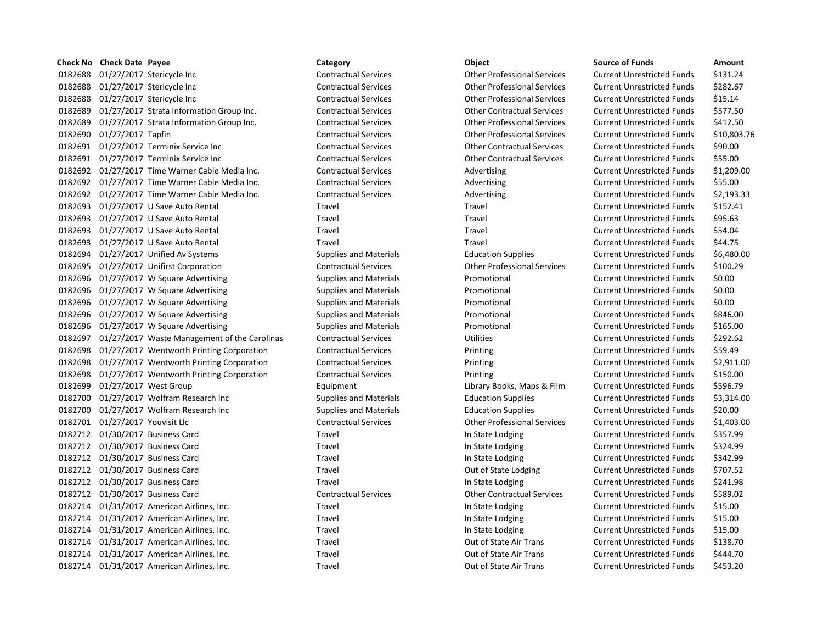# **Check No Check Date Payee Category Object Source of Funds Amount** 0182688 01/27/2017 Stericycle Inc Contractual Services Other Professional Services Current Unrestricted Funds \$131.24 0182688 01/27/2017 Stericycle Inc Contractual Services Other Professional Services Current Unrestricted Funds \$282.67 0182688 01/27/2017 Stericycle Inc Contractual Services Other Professional Services Current Unrestricted Funds \$15.14 0182689 01/27/2017 Strata Information Group Inc. Contractual Services Current Unrestricted Funds 5577.50 0182689 01/27/2017 Strata Information Group Inc. Contractual Services Current Exercises Current Unrestricted Funds \$412.50 0182690 01/27/2017 Tapfin Contractual Services Other Professional Services Current Unrestricted Funds \$10,803.76 0182691 01/27/2017 Terminix Service Inc Contractual Services Other Contractual Services Current Unrestricted Funds \$90.00 0182691 01/27/2017 Terminix Service Inc Contractual Services Other Contractual Services Current Unrestricted Funds \$55.00 0182692 01/27/2017 Time Warner Cable Media Inc. Contractual Services Advertising Current Unrestricted Funds \$1,209.00 0182692 01/27/2017 Time Warner Cable Media Inc. Contractual Services Advertising Current Unrestricted Funds \$55.00 0182692 01/27/2017 Time Warner Cable Media Inc. Contractual Services Advertising Current Unrestricted Funds \$2,193.33 0182693 01/27/2017 U Save Auto Rental Travel Travel Travel Travel Travel Current Unrestricted Funds \$152.41 0182693 01/27/2017 U Save Auto Rental Travel Travel Current Unrestricted Funds \$95.63 0182693 01/27/2017 U Save Auto Rental Travel Travel Current Unrestricted Funds \$54.04 0182693 01/27/2017 U Save Auto Rental Travel Travel Travel Travel Travel Travel Current Unrestricted Funds \$44.75 0182694 01/27/2017 Unified Av Systems Supplies and Materials Education Supplies Current Unrestricted Funds \$6,480.00 0182695 01/27/2017 Unifirst Corporation Contractual Services Other Professional Services Current Unrestricted Funds \$100.29 0182696 01/27/2017 W Square Advertising Supplies and Materials Promotional Promotional Current Unrestricted Funds \$0.00 0182696 01/27/2017 W Square Advertising Supplies and Materials Promotional Promotional Current Unrestricted Funds \$0.00 0182696 01/27/2017 W Square Advertising Supplies and Materials Promotional Current Unrestricted Funds \$0.00 0182696 01/27/2017 W Square Advertising Supplies and Materials Promotional Current Unrestricted Funds \$846.00 0182696 01/27/2017 W Square Advertising Supplies and Materials Promotional Current Unrestricted Funds \$165.00 0182697 01/27/2017 Waste Management of the Carolinas Contractual Services Utilities Current Unrestricted Funds \$292.62 0182698 01/27/2017 Wentworth Printing Corporation Contractual Services Printing Current Unrestricted Funds \$59.49 0182698 01/27/2017 Wentworth Printing Corporation Contractual Services Printing Current Unrestricted Funds \$2,911.00 0182698 01/27/2017 Wentworth Printing Corporation Contractual Services Printing Current Unrestricted Funds \$150.00 0182699 01/27/2017 West Group **Equipment** Equipment Library Books, Maps & Film Current Unrestricted Funds \$596.79 0182700 01/27/2017 Wolfram Research Inc Supplies and Materials Education Supplies Current Unrestricted Funds \$3,314.00 0182700 01/27/2017 Wolfram Research Inc Supplies and Materials Education Supplies Current Unrestricted Funds \$20.00 0182701 01/27/2017 Youvisit Llc Contractual Services Other Professional Services Current Unrestricted Funds \$1,403.00 0182712 01/30/2017 Business Card Travel Travel Travel Current Unrestricted Funds 5357.99 0182712 01/30/2017 Business Card Travel Travel Travel Current Unrestricted Funds \$324.99 0182712 01/30/2017 Business Card Travel Travel Travel Current Unrestricted Funds 5342.99 0182712 01/30/2017 Business Card Travel Out of State Lodging Current Unrestricted Funds \$707.52 0182712 01/30/2017 Business Card Travel Travel Travel Current Unrestricted Funds 5241.98 0182712 01/30/2017 Business Card Contractual Services Other Contractual Services Current Unrestricted Funds \$589.02 0182714 01/31/2017 American Airlines, Inc. Travel Travel In State Lodging Current Unrestricted Funds \$15.00 0182714 01/31/2017 American Airlines, Inc. Travel Travel In State Lodging Current Unrestricted Funds \$15.00 0182714 01/31/2017 American Airlines, Inc. Travel Travel In State Lodging Current Unrestricted Funds \$15.00 0182714 01/31/2017 American Airlines, Inc. Travel Travel Cut of State Air Trans Current Unrestricted Funds \$138.70 0182714 01/31/2017 American Airlines, Inc. Travel Travel Current Unrestricted Funds 5444.70 0182714 01/31/2017 American Airlines, Inc. Travel Travel Current Unrestricted Funds 5453.20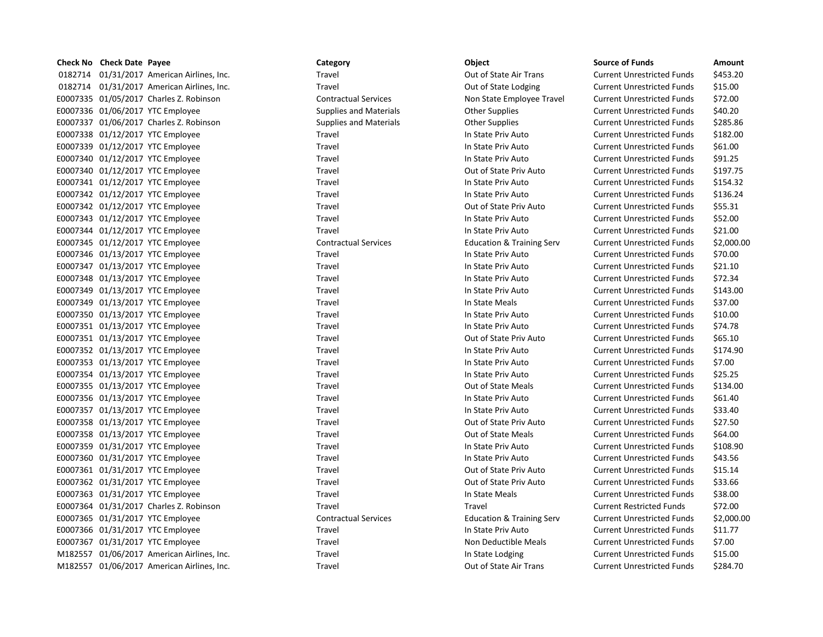| <b>Check No</b> Check Date Payee |                                            | Category                      | Object                               | <b>Source of Funds</b>            | Amount    |
|----------------------------------|--------------------------------------------|-------------------------------|--------------------------------------|-----------------------------------|-----------|
|                                  | 0182714 01/31/2017 American Airlines, Inc. | Travel                        | Out of State Air Trans               | <b>Current Unrestricted Funds</b> | \$453.20  |
|                                  | 0182714 01/31/2017 American Airlines, Inc. | Travel                        | Out of State Lodging                 | <b>Current Unrestricted Funds</b> | \$15.00   |
|                                  | E0007335 01/05/2017 Charles Z. Robinson    | <b>Contractual Services</b>   | Non State Employee Travel            | <b>Current Unrestricted Funds</b> | \$72.00   |
|                                  | E0007336 01/06/2017 YTC Employee           | <b>Supplies and Materials</b> | <b>Other Supplies</b>                | <b>Current Unrestricted Funds</b> | \$40.20   |
|                                  | E0007337 01/06/2017 Charles Z. Robinson    | <b>Supplies and Materials</b> | <b>Other Supplies</b>                | <b>Current Unrestricted Funds</b> | \$285.86  |
|                                  | E0007338 01/12/2017 YTC Employee           | Travel                        | In State Priv Auto                   | <b>Current Unrestricted Funds</b> | \$182.00  |
|                                  | E0007339 01/12/2017 YTC Employee           | Travel                        | In State Priv Auto                   | <b>Current Unrestricted Funds</b> | \$61.00   |
|                                  | E0007340 01/12/2017 YTC Employee           | Travel                        | In State Priv Auto                   | <b>Current Unrestricted Funds</b> | \$91.25   |
|                                  | E0007340 01/12/2017 YTC Employee           | Travel                        | Out of State Priv Auto               | <b>Current Unrestricted Funds</b> | \$197.75  |
|                                  | E0007341 01/12/2017 YTC Employee           | Travel                        | In State Priv Auto                   | <b>Current Unrestricted Funds</b> | \$154.32  |
|                                  | E0007342 01/12/2017 YTC Employee           | Travel                        | In State Priv Auto                   | <b>Current Unrestricted Funds</b> | \$136.24  |
|                                  | E0007342 01/12/2017 YTC Employee           | Travel                        | Out of State Priv Auto               | <b>Current Unrestricted Funds</b> | \$55.31   |
|                                  | E0007343 01/12/2017 YTC Employee           | Travel                        | In State Priv Auto                   | <b>Current Unrestricted Funds</b> | \$52.00   |
|                                  | E0007344 01/12/2017 YTC Employee           | Travel                        | In State Priv Auto                   | <b>Current Unrestricted Funds</b> | \$21.00   |
|                                  | E0007345 01/12/2017 YTC Employee           | <b>Contractual Services</b>   | <b>Education &amp; Training Serv</b> | <b>Current Unrestricted Funds</b> | \$2,000.0 |
|                                  | E0007346 01/13/2017 YTC Employee           | Travel                        | In State Priv Auto                   | <b>Current Unrestricted Funds</b> | \$70.00   |
|                                  | E0007347 01/13/2017 YTC Employee           | Travel                        | In State Priv Auto                   | <b>Current Unrestricted Funds</b> | \$21.10   |
|                                  | E0007348 01/13/2017 YTC Employee           | Travel                        | In State Priv Auto                   | <b>Current Unrestricted Funds</b> | \$72.34   |
|                                  | E0007349 01/13/2017 YTC Employee           | Travel                        | In State Priv Auto                   | <b>Current Unrestricted Funds</b> | \$143.00  |
|                                  | E0007349 01/13/2017 YTC Employee           | Travel                        | In State Meals                       | <b>Current Unrestricted Funds</b> | \$37.00   |
|                                  | E0007350 01/13/2017 YTC Employee           | Travel                        | In State Priv Auto                   | <b>Current Unrestricted Funds</b> | \$10.00   |
|                                  | E0007351 01/13/2017 YTC Employee           | Travel                        | In State Priv Auto                   | <b>Current Unrestricted Funds</b> | \$74.78   |
|                                  | E0007351 01/13/2017 YTC Employee           | Travel                        | Out of State Priv Auto               | <b>Current Unrestricted Funds</b> | \$65.10   |
|                                  | E0007352 01/13/2017 YTC Employee           | Travel                        | In State Priv Auto                   | <b>Current Unrestricted Funds</b> | \$174.90  |
|                                  | E0007353 01/13/2017 YTC Employee           | Travel                        | In State Priv Auto                   | <b>Current Unrestricted Funds</b> | \$7.00    |
|                                  | E0007354 01/13/2017 YTC Employee           | Travel                        | In State Priv Auto                   | <b>Current Unrestricted Funds</b> | \$25.25   |
|                                  | E0007355 01/13/2017 YTC Employee           | Travel                        | <b>Out of State Meals</b>            | <b>Current Unrestricted Funds</b> | \$134.00  |
|                                  | E0007356 01/13/2017 YTC Employee           | Travel                        | In State Priv Auto                   | <b>Current Unrestricted Funds</b> | \$61.40   |
|                                  | E0007357 01/13/2017 YTC Employee           | Travel                        | In State Priv Auto                   | <b>Current Unrestricted Funds</b> | \$33.40   |
|                                  | E0007358 01/13/2017 YTC Employee           | Travel                        | Out of State Priv Auto               | <b>Current Unrestricted Funds</b> | \$27.50   |
|                                  | E0007358 01/13/2017 YTC Employee           | Travel                        | <b>Out of State Meals</b>            | <b>Current Unrestricted Funds</b> | \$64.00   |
|                                  | E0007359 01/31/2017 YTC Employee           | Travel                        | In State Priv Auto                   | <b>Current Unrestricted Funds</b> | \$108.90  |
|                                  | E0007360 01/31/2017 YTC Employee           | Travel                        | In State Priv Auto                   | <b>Current Unrestricted Funds</b> | \$43.56   |
|                                  | E0007361 01/31/2017 YTC Employee           | Travel                        | Out of State Priv Auto               | <b>Current Unrestricted Funds</b> | \$15.14   |
|                                  | E0007362 01/31/2017 YTC Employee           | Travel                        | Out of State Priv Auto               | <b>Current Unrestricted Funds</b> | \$33.66   |
|                                  | E0007363 01/31/2017 YTC Employee           | Travel                        | In State Meals                       | <b>Current Unrestricted Funds</b> | \$38.00   |
|                                  | E0007364 01/31/2017 Charles Z. Robinson    | Travel                        | Travel                               | <b>Current Restricted Funds</b>   | \$72.00   |
|                                  | E0007365 01/31/2017 YTC Employee           | <b>Contractual Services</b>   | <b>Education &amp; Training Serv</b> | <b>Current Unrestricted Funds</b> | \$2,000.0 |
|                                  | E0007366 01/31/2017 YTC Employee           | Travel                        | In State Priv Auto                   | <b>Current Unrestricted Funds</b> | \$11.77   |
|                                  | E0007367 01/31/2017 YTC Employee           | Travel                        | Non Deductible Meals                 | <b>Current Unrestricted Funds</b> | \$7.00    |
|                                  | M182557 01/06/2017 American Airlines, Inc. | Travel                        | In State Lodging                     | <b>Current Unrestricted Funds</b> | \$15.00   |
|                                  | M182557 01/06/2017 American Airlines, Inc. | Travel                        | Out of State Air Trans               | <b>Current Unrestricted Funds</b> | \$284.70  |

# E0007335 01/05/2017 Charles Z. Robinson Contractual Services Non State Employee Travel Current Unrestricted Funds \$72.00 Supplies and Materials **Supplies Current Unrestricted Funds** 540.20 E0007337 Supplies and Materials Charles Communicular Current Unrestricted Funds in S285.86 Travel **End and State Priv Auto** Current Unrestricted Funds \$182.00 Travel **EXECUTE:** In State Priv Auto Current Unrestricted Funds \$61.00 Travel **EXECUTE:** In State Priv Auto **Current Unrestricted Funds** \$91.25 Travel **EXECUTE:** Out of State Priv Auto Current Unrestricted Funds \$197.75 Travel **End and State Priv Auto** In State Priv Auto Current Unrestricted Funds \$154.32 Travel **End and State Priv Auto** Current Unrestricted Funds \$136.24 Travel **EXECUTE:** Travel Current Unrestricted Funds 555.31 E0007343 01/12/2017 YTC Employee Travel In State Priv Auto Current Unrestricted Funds \$52.00 Travel **Education 12007** In State Priv Auto **Current Unrestricted Funds** \$21.00 Contractual Services **Education & Training Serv** Current Unrestricted Funds \$2,000.00 E0007346 Travel Travel In State Priv Auto Current Unrestricted Funds \$70.00 Travel **Education 1007 12007** In State Priv Auto Current Unrestricted Funds \$21.10 E000734 100734 100734 100734 1017 Minimum Pravel In State Priv Auto Current Unrestricted Funds \$72.34 E0007349 01/13/2017 YTC Employee Travel In State Priv Auto Current Unrestricted Funds \$143.00 E000734 Travel Travel Current Unrestricted Funds in State Meals Current Unrestricted Funds in \$37.00 Travel **End and State Priv Auto** Current Unrestricted Funds \$10.00 Travel **End and State Priv Auto** Current Unrestricted Funds \$74.78 Travel **EXECUTE:** Out of State Priv Auto Current Unrestricted Funds \$65.10 E00073107 Travel Travel In State Priv Auto Current Unrestricted Funds \$174.90 Travel **End and State Priv Auto** Current Unrestricted Funds \$7.00 Travel **End and State Priv Auto** In State Priv Auto Current Unrestricted Funds \$25.25 Travel **EXECUTE:** Travel Current Unrestricted Funds \$134.00 Travel **EXECUTE:** In State Priv Auto **Current Unrestricted Funds** \$61.40 E0007 Travel Travel In State Priv Auto Current Unrestricted Funds \$33.40 Travel **EXECONTE:** Out of State Priv Auto Current Unrestricted Funds \$27.50 Travel **EXECUTE:** Out of State Meals Current Unrestricted Funds \$64.00 Endel Travel Travel In State Priv Auto Current Unrestricted Funds \$108.90 E0007360 01/31/2017 YTC Employee Travel In State Priv Auto Current Unrestricted Funds \$43.56 Travel **EXECUTE:** Out of State Priv Auto Current Unrestricted Funds \$15.14 Travel **EXECUTE:** Out of State Priv Auto Current Unrestricted Funds \$33.66 Travel **End and State Meals** In State Meals Current Unrestricted Funds 538.00 Example 2004 121/2017 Current Restricted Funds 572.00 Contractual Services **Education & Training Serv** Current Unrestricted Funds \$2,000.00 Travel **Education 10007** In State Priv Auto **Current Unrestricted Funds** \$11.77 Travel **EXECUTE:** Non Deductible Meals Current Unrestricted Funds \$7.00 nd M182557 1225 101/06/2017 American Airlines, Inc. Travel Intervent Unrestricted Funds Current Unrestricted Funds inc.